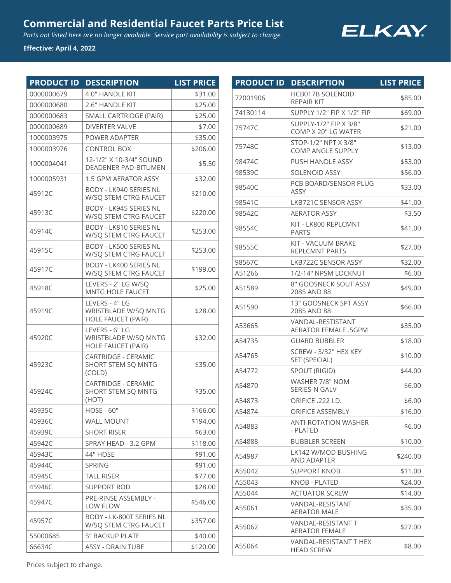## **Commercial and Residential Faucet Parts Price List**

*Parts not listed here are no longer available. Service part availability is subject to change.*

## **Effective: April 4, 2022**

|            | <b>PRODUCT ID DESCRIPTION</b>                                       | <b>LIST PRICE</b> |  |
|------------|---------------------------------------------------------------------|-------------------|--|
| 0000000679 | 4.0" HANDLE KIT                                                     | \$31.00           |  |
| 0000000680 | 2.6" HANDLE KIT                                                     | \$25.00           |  |
| 0000000683 | <b>SMALL CARTRIDGE (PAIR)</b>                                       | \$25.00           |  |
| 0000000689 | <b>DIVERTER VALVE</b>                                               | \$7.00            |  |
| 1000003975 | POWER ADAPTER                                                       | \$35.00           |  |
| 1000003976 | <b>CONTROL BOX</b>                                                  | \$206.00          |  |
| 1000004041 | 12-1/2" X 10-3/4" SOUND<br>DEADENER PAD-BITUMEN                     | \$5.50            |  |
| 1000005931 | 1.5 GPM AERATOR ASSY                                                | \$32.00           |  |
| 45912C     | BODY - LK940 SERIES NL<br>W/SQ STEM CTRG FAUCET                     | \$210.00          |  |
| 45913C     | BODY - LK945 SERIES NL<br>W/SQ STEM CTRG FAUCET                     | \$220.00          |  |
| 45914C     | <b>BODY - LK810 SERIES NL</b><br>W/SQ STEM CTRG FAUCET              | \$253.00          |  |
| 45915C     | BODY - LK500 SERIES NL<br>W/SQ STEM CTRG FAUCET                     | \$253.00          |  |
| 45917C     | BODY - LK400 SERIES NL<br>W/SQ STEM CTRG FAUCET                     | \$199.00          |  |
| 45918C     | LEVERS - 2" LG W/SQ<br><b>MNTG HOLE FAUCET</b>                      | \$25.00           |  |
| 45919C     | LEVERS - 4" LG<br>WRISTBLADE W/SQ MNTG<br><b>HOLE FAUCET (PAIR)</b> | \$28.00           |  |
| 45920C     | LEVERS - 6" LG<br>WRISTBLADE W/SQ MNTG<br><b>HOLE FAUCET (PAIR)</b> | \$32.00           |  |
| 45923C     | CARTRIDGE - CERAMIC<br>SHORT STEM SQ MNTG<br>(COLD)                 | \$35.00           |  |
| 45924C     | CARTRIDGE - CERAMIC<br>SHORT STEM SQ MNTG<br>(HOT)                  | \$35.00           |  |
| 45935C     | HOSE - 60"                                                          | \$166.00          |  |
| 45936C     | WALL MOUNT                                                          | \$194.00          |  |
| 45939C     | SHORT RISER                                                         | \$63.00           |  |
| 45942C     | SPRAY HEAD - 3.2 GPM                                                | \$118.00          |  |
| 45943C     | 44" HOSE                                                            | \$91.00           |  |
| 45944C     | SPRING                                                              | \$91.00           |  |
| 45945C     | TALL RISER                                                          | \$77.00           |  |
| 45946C     | SUPPORT ROD                                                         | \$28.00           |  |
| 45947C     | PRE-RINSE ASSEMBLY -<br>LOW FLOW                                    | \$546.00          |  |
| 45957C     | <b>BODY - LK-800T SERIES NL</b><br>W/SQ STEM CTRG FAUCET            | \$357.00          |  |
| 55000685   | <b>5" BACKUP PLATE</b>                                              | \$40.00           |  |
| 66634C     | ASSY - DRAIN TUBE                                                   | \$120.00          |  |

| <b>PRODUCT ID</b> | <b>DESCRIPTION</b>                               | <b>LIST PRICE</b> |  |
|-------------------|--------------------------------------------------|-------------------|--|
| 72001906          | <b>HCB017B SOLENOID</b><br><b>REPAIR KIT</b>     | \$85.00           |  |
| 74130114          | <b>SUPPLY 1/2" FIP X 1/2" FIP</b>                | \$69.00           |  |
| 75747C            | SUPPLY-1/2" FIP X 3/8"<br>COMP X 20" LG WATER    | \$21.00           |  |
| 75748C            | STOP-1/2" NPT X 3/8"<br><b>COMP ANGLE SUPPLY</b> | \$13.00           |  |
| 98474C            | <b>PUSH HANDLE ASSY</b>                          | \$53.00           |  |
| 98539C            | SOLENOID ASSY                                    | \$56.00           |  |
| 98540C            | PCB BOARD/SENSOR PLUG<br>ASSY                    | \$33.00           |  |
| 98541C            | <b>LKB721C SENSOR ASSY</b>                       | \$41.00           |  |
| 98542C            | <b>AERATOR ASSY</b>                              | \$3.50            |  |
| 98554C            | KIT - LK800 REPLCMNT<br><b>PARTS</b>             | \$41.00           |  |
| 98555C            | <b>KIT - VACUUM BRAKE</b><br>REPLCMNT PARTS      | \$27.00           |  |
| 98567C            | <b>LKB722C SENSOR ASSY</b>                       | \$32.00           |  |
| A51266            | 1/2-14" NPSM LOCKNUT                             | \$6.00            |  |
| A51589            | 8" GOOSNECK SOUT ASSY<br>2085 AND 88             | \$49.00           |  |
| A51590            | 13" GOOSNECK SPT ASSY<br>2085 AND 88             | \$66.00           |  |
| A53665            | VANDAL-RESTISTANT<br>AERATOR FEMALE .5GPM        | \$35.00           |  |
| A54735            | <b>GUARD BUBBLER</b>                             | \$18.00           |  |
| A54765            | SCREW - 3/32" HEX KEY<br>SET (SPECIAL)           | \$10.00           |  |
| A54772            | SPOUT (RIGID)                                    | \$44.00           |  |
| A54870            | WASHER 7/8" NOM<br><b>SERIES-N GALV</b>          | \$6.00            |  |
| A54873            | ORIFICE .222 I.D.                                | \$6.00            |  |
| A54874            | <b>ORIFICE ASSEMBLY</b>                          | \$16.00           |  |
| A54883            | ANTI-ROTATION WASHER<br>- PLATED                 | \$6.00            |  |
| A54888            | <b>BUBBLER SCREEN</b>                            | \$10.00           |  |
| A54987            | <b>IK142 W/MOD BUSHING</b><br>AND ADAPTER        | \$240.00          |  |
| A55042            | <b>SUPPORT KNOB</b>                              | \$11.00           |  |
| A55043            | <b>KNOB - PLATED</b>                             | \$24.00           |  |
| A55044            | <b>ACTUATOR SCREW</b>                            | \$14.00           |  |
| A55061            | VANDAL-RESISTANT<br><b>AERATOR MALE</b>          | \$35.00           |  |
| A55062            | VANDAL-RESISTANT T<br><b>AERATOR FEMALE</b>      | \$27.00           |  |
| A55064            | VANDAL-RESISTANT T HEX<br><b>HEAD SCREW</b>      | \$8.00            |  |

**ELKAY**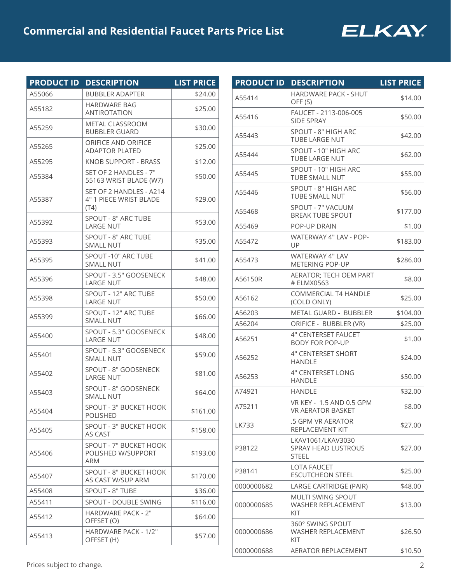|        | <b>PRODUCT ID DESCRIPTION</b>                             | <b>LIST PRICE</b> |
|--------|-----------------------------------------------------------|-------------------|
| A55066 | <b>BUBBLER ADAPTER</b>                                    | \$24.00           |
| A55182 | <b>HARDWARE BAG</b><br><b>ANTIROTATION</b>                | \$25.00           |
| A55259 | <b>METAL CLASSROOM</b><br><b>BUBBLER GUARD</b>            | \$30.00           |
| A55265 | ORIFICE AND ORIFICE<br><b>ADAPTOR PLATED</b>              | \$25.00           |
| A55295 | <b>KNOB SUPPORT - BRASS</b>                               | \$12.00           |
| A55384 | SET OF 2 HANDLES - 7"<br>55163 WRIST BLADE (W7)           | \$50.00           |
| A55387 | SET OF 2 HANDLES - A214<br>4" 1 PIECE WRIST BLADE<br>(T4) | \$29.00           |
| A55392 | SPOUT - 8" ARC TUBE<br><b>LARGE NUT</b>                   | \$53.00           |
| A55393 | SPOUT - 8" ARC TUBE<br><b>SMALL NUT</b>                   | \$35.00           |
| A55395 | SPOUT -10" ARC TUBE<br><b>SMALL NUT</b>                   | \$41.00           |
| A55396 | SPOUT - 3.5" GOOSENECK<br><b>LARGE NUT</b>                | \$48.00           |
| A55398 | SPOUT - 12" ARC TUBE<br><b>LARGE NUT</b>                  | \$50.00           |
| A55399 | SPOUT - 12" ARC TUBE<br>SMALL NUT                         | \$66.00           |
| A55400 | SPOUT - 5.3" GOOSENECK<br>LARGE NUT                       | \$48.00           |
| A55401 | SPOUT - 5.3" GOOSENECK<br><b>SMALL NUT</b>                | \$59.00           |
| A55402 | SPOUT - 8" GOOSENECK<br><b>LARGE NUT</b>                  | \$81.00           |
| A55403 | SPOUT - 8" GOOSENECK<br><b>SMALL NUT</b>                  | \$64.00           |
| A55404 | SPOUT - 3" BUCKET HOOK<br><b>POLISHED</b>                 | \$161.00          |
| A55405 | <b>SPOUT - 3" BUCKET HOOK</b><br><b>AS CAST</b>           | \$158.00          |
| A55406 | SPOUT - 7" BUCKET HOOK<br>POLISHED W/SUPPORT<br>ARM       | \$193.00          |
| A55407 | SPOUT - 8" BUCKET HOOK<br>AS CAST W/SUP ARM               | \$170.00          |
| A55408 | SPOUT - 8" TUBE                                           | \$36.00           |
| A55411 | SPOUT - DOUBLE SWING                                      | \$116.00          |
| A55412 | <b>HARDWARE PACK - 2"</b><br>OFFSET (O)                   | \$64.00           |
| A55413 | HARDWARE PACK - 1/2"<br>OFFSET (H)                        | \$57.00           |

| <b>PRODUCT ID</b> | <b>DESCRIPTION</b>                                              | <b>LIST PRICE</b> |  |
|-------------------|-----------------------------------------------------------------|-------------------|--|
| A55414            | <b>HARDWARE PACK - SHUT</b><br>\$14.00<br>OFF <sub>(S)</sub>    |                   |  |
| A55416            | FAUCET - 2113-006-005<br><b>SIDE SPRAY</b>                      | \$50.00           |  |
| A55443            | SPOUT - 8" HIGH ARC<br>TUBE LARGE NUT                           | \$42.00           |  |
| A55444            | SPOUT - 10" HIGH ARC<br><b>TUBE LARGE NUT</b>                   | \$62.00           |  |
| A55445            | SPOUT - 10" HIGH ARC<br><b>TUBE SMALL NUT</b>                   | \$55.00           |  |
| A55446            | SPOUT - 8" HIGH ARC<br>TUBE SMALL NUT                           | \$56.00           |  |
| A55468            | SPOUT - 7" VACUUM<br><b>BREAK TUBE SPOUT</b>                    | \$177.00          |  |
| A55469            | POP-UP DRAIN                                                    | \$1.00            |  |
| A55472            | WATERWAY 4" LAV - POP-<br>UP.                                   | \$183.00          |  |
| A55473            | <b>WATERWAY 4" LAV</b><br><b>METERING POP-UP</b>                | \$286.00          |  |
| A56150R           | AERATOR; TECH OEM PART<br># ELMX0563                            | \$8.00            |  |
| A56162            | <b>COMMERCIAL T4 HANDLE</b><br>(COLD ONLY)                      | \$25.00           |  |
| A56203            | <b>METAL GUARD - BUBBLER</b>                                    | \$104.00          |  |
| A56204            | ORIFICE - BUBBLER (VR)                                          | \$25.00           |  |
| A56251            | 4" CENTERSET FAUCET<br><b>BODY FOR POP-UP</b>                   | \$1.00            |  |
| A56252            | 4" CENTERSET SHORT<br><b>HANDLE</b>                             | \$24.00           |  |
| A56253            | <b>4" CENTERSET LONG</b><br><b>HANDLE</b>                       | \$50.00           |  |
| A74921            | <b>HANDLE</b>                                                   | \$32.00           |  |
| A75211            | VR KEY - 1.5 AND 0.5 GPM<br><b>VR AERATOR BASKET</b>            | \$8.00            |  |
| LK733             | 5 GPM VR AFRATOR<br>REPLACEMENT KIT                             | \$27.00           |  |
| P38122            | LKAV1061/LKAV3030<br><b>SPRAY HEAD LUSTROUS</b><br><b>STEEL</b> | \$27.00           |  |
| P38141            | <b>LOTA FAUCET</b><br><b>ESCUTCHEON STEEL</b>                   | \$25.00           |  |
| 0000000682        | LARGE CARTRIDGE (PAIR)                                          | \$48.00           |  |
| 0000000685        | MULTI SWING SPOUT<br><b>WASHER REPLACEMENT</b><br>KIT           | \$13.00           |  |
| 0000000686        | 360° SWING SPOUT<br><b>WASHER REPLACEMENT</b><br>KIT.           | \$26.50           |  |
| 0000000688        | AERATOR REPLACEMENT                                             | \$10.50           |  |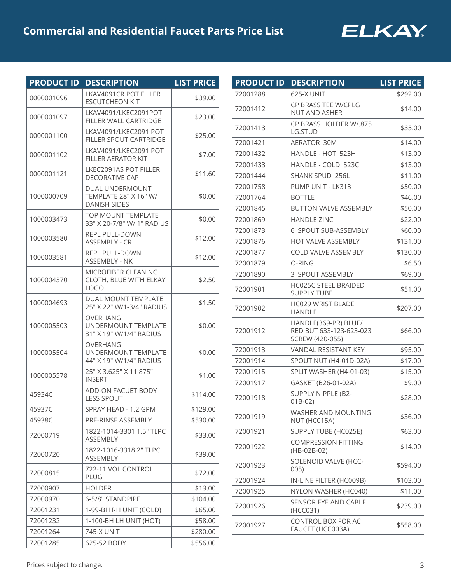| $\sum_{i=1}^{n}$<br>$\sqrt{2}$<br>m. |
|--------------------------------------|
|                                      |

| <b>PRODUCT ID</b> | <b>DESCRIPTION</b>                                                     | <b>LIST PRICE</b> |
|-------------------|------------------------------------------------------------------------|-------------------|
| 0000001096        | <b>LKAV4091CR POT FILLER</b><br><b>ESCUTCHEON KIT</b>                  | \$39.00           |
| 0000001097        | LKAV4091/LKEC2091POT<br><b>FILLER WALL CARTRIDGE</b>                   | \$23.00           |
| 0000001100        | LKAV4091/LKEC2091 POT<br><b>FILLER SPOUT CARTRIDGE</b>                 | \$25.00           |
| 0000001102        | LKAV4091/LKEC2091 POT<br><b>FILLER AERATOR KIT</b>                     | \$7.00            |
| 0000001121        | <b>I KFC2091AS POT FILLER</b><br><b>DECORATIVE CAP</b>                 | \$11.60           |
| 1000000709        | <b>DUAL UNDERMOUNT</b><br>TEMPLATE 28" X 16" W/<br><b>DANISH SIDES</b> | \$0.00            |
| 1000003473        | TOP MOUNT TEMPLATE<br>33" X 20-7/8" W/ 1" RADIUS                       | \$0.00            |
| 1000003580        | <b>REPL PULL-DOWN</b><br><b>ASSEMBLY - CR</b>                          | \$12.00           |
| 1000003581        | <b>REPL PULL-DOWN</b><br><b>ASSEMBLY - NK</b>                          | \$12.00           |
| 1000004370        | MICROFIBER CLEANING<br>CLOTH. BLUE WITH ELKAY<br><b>LOGO</b>           | \$2.50            |
| 1000004693        | <b>DUAL MOUNT TEMPLATE</b><br>25" X 22" W/1-3/4" RADIUS                | \$1.50            |
| 1000005503        | OVERHANG<br>UNDERMOUNT TEMPLATE<br>31" X 19" W/1/4" RADIUS             | \$0.00            |
| 1000005504        | OVERHANG<br>UNDERMOUNT TEMPLATE<br>44" X 19" W/1/4" RADIUS             | \$0.00            |
| 1000005578        | 25" X 3.625" X 11.875"<br><b>INSERT</b>                                | \$1.00            |
| 45934C            | <b>ADD-ON FACUET BODY</b><br><b>LESS SPOUT</b>                         | \$114.00          |
| 45937C            | SPRAY HEAD - 1.2 GPM                                                   | \$129.00          |
| 45938C            | PRE-RINSE ASSEMBLY                                                     | \$530.00          |
| 72000719          | 1822-1014-3301 1.5" TLPC<br><b>ASSEMBLY</b>                            | \$33.00           |
| 72000720          | 1822-1016-3318 2" TLPC<br><b>ASSEMBLY</b>                              | \$39.00           |
| 72000815          | 722-11 VOL CONTROL<br>PLUG                                             | \$72.00           |
| 72000907          | <b>HOLDER</b>                                                          | \$13.00           |
| 72000970          | 6-5/8" STANDPIPE                                                       | \$104.00          |
| 72001231          | 1-99-BH RH UNIT (COLD)                                                 | \$65.00           |
| 72001232          | 1-100-BH LH UNIT (HOT)                                                 | \$58.00           |
| 72001264          | <b>745-X UNIT</b>                                                      | \$280.00          |
| 72001285          | 625-52 BODY                                                            | \$556.00          |

| <b>PRODUCT ID</b> | <b>DESCRIPTION</b>                                                 | <b>LIST PRICE</b> |  |
|-------------------|--------------------------------------------------------------------|-------------------|--|
| 72001288          | 625-X UNIT                                                         | \$292.00          |  |
| 72001412          | CP BRASS TEE W/CPLG<br><b>NUT AND ASHER</b>                        | \$14.00           |  |
| 72001413          | CP BRASS HOLDER W/.875<br>LG.STUD                                  | \$35.00           |  |
| 72001421          | <b>AERATOR 30M</b>                                                 | \$14.00           |  |
| 72001432          | HANDLE - HOT 523H                                                  | \$13.00           |  |
| 72001433          | HANDLE - COLD 523C                                                 | \$13.00           |  |
| 72001444          | <b>SHANK SPUD 256L</b>                                             | \$11.00           |  |
| 72001758          | PUMP UNIT - LK313                                                  | \$50.00           |  |
| 72001764          | <b>BOTTLE</b>                                                      | \$46.00           |  |
| 72001845          | <b>BUTTON VALVE ASSEMBLY</b>                                       | \$50.00           |  |
| 72001869          | <b>HANDLE ZINC</b>                                                 | \$22.00           |  |
| 72001873          | 6 SPOUT SUB-ASSEMBLY                                               | \$60.00           |  |
| 72001876          | <b>HOT VALVE ASSEMBLY</b>                                          | \$131.00          |  |
| 72001877          | <b>COLD VALVE ASSEMBLY</b>                                         | \$130.00          |  |
| 72001879          | O-RING                                                             | \$6.50            |  |
| 72001890          | 3 SPOUT ASSEMBLY                                                   | \$69.00           |  |
| 72001901          | <b>HC025C STEEL BRAIDED</b><br><b>SUPPLY TUBE</b>                  | \$51.00           |  |
| 72001902          | <b>HC029 WRIST BLADE</b><br><b>HANDLE</b>                          | \$207.00          |  |
| 72001912          | HANDLE(369-PR) BLUE/<br>RED BUT 633-123-623-023<br>SCREW (420-055) | \$66.00           |  |
| 72001913          | VANDAL RESISTANT KEY                                               | \$95.00           |  |
| 72001914          | SPOUT NUT (H4-01D-02A)                                             | \$17.00           |  |
| 72001915          | SPLIT WASHER (H4-01-03)                                            | \$15.00           |  |
| 72001917          | GASKET (B26-01-02A)                                                | \$9.00            |  |
| 72001918          | <b>SUPPLY NIPPLE (B2-</b><br>$01B-02)$                             | \$28.00           |  |
| 72001919          | WASHER AND MOUNTING<br>NUT (HC015A)                                | \$36.00           |  |
| 72001921          | SUPPLY TUBE (HC025E)                                               | \$63.00           |  |
| 72001922          | <b>COMPRESSION FITTING</b><br>(HB-02B-02)                          | \$14.00           |  |
| 72001923          | SOLENOID VALVE (HCC-<br>005)                                       | \$594.00          |  |
| 72001924          | IN-LINE FILTER (HC009B)                                            | \$103.00          |  |
| 72001925          | NYLON WASHER (HC040)                                               | \$11.00           |  |
| 72001926          | <b>SENSOR EYE AND CABLE</b><br>(HCC031)                            | \$239.00          |  |
| 72001927          | <b>CONTROL BOX FOR AC</b><br>FAUCET (HCC003A)                      | \$558.00          |  |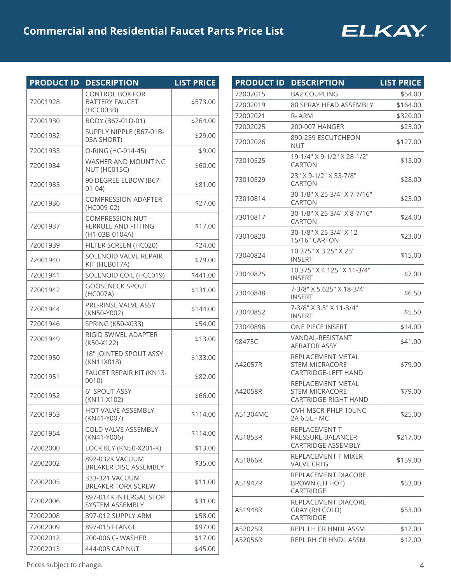| <b>PRODUCT ID</b> | <b>DESCRIPTION</b>                                                       | <b>LIST PRICE</b> |  |
|-------------------|--------------------------------------------------------------------------|-------------------|--|
| 72001928          | <b>CONTROL BOX FOR</b><br><b>BATTERY FAUCET</b><br>(HCC003B)             | \$573.00          |  |
| 72001930          | BODY (B67-01D-01)                                                        | \$264.00          |  |
| 72001932          | SUPPLY NIPPLE (B67-01B-<br>03A SHORT)                                    | \$29.00           |  |
| 72001933          | O-RING (HC-014-45)                                                       | \$9.00            |  |
| 72001934          | WASHER AND MOUNTING<br>NUT (HC015C)                                      | \$60.00           |  |
| 72001935          | 90 DEGREE ELBOW (B67-<br>$01 - 04$                                       | \$81.00           |  |
| 72001936          | <b>COMPRESSION ADAPTER</b><br>(HC009-02)                                 | \$27.00           |  |
| 72001937          | <b>COMPRESSION NUT -</b><br><b>FERRULE AND FITTING</b><br>(H1-03B-0104A) | \$17.00           |  |
| 72001939          | FILTER SCREEN (HC020)                                                    | \$24.00           |  |
| 72001940          | SOLENOID VALVE REPAIR<br>KIT (HCB017A)                                   | \$79.00           |  |
| 72001941          | SOLENOID COIL (HCC019)                                                   | \$441.00          |  |
| 72001942          | <b>GOOSENECK SPOUT</b><br>(HC007A)                                       | \$131.00          |  |
| 72001944          | PRE-RINSE VALVE ASSY<br>(KN50-Y002)                                      | \$144.00          |  |
| 72001946          | SPRING (K50-X033)                                                        | \$54.00           |  |
| 72001949          | RIGID SWIVEL ADAPTER<br>(K50-X122)                                       | \$13.00           |  |
| 72001950          | 18" JOINTED SPOUT ASSY<br>(KN11X018)                                     | \$133.00          |  |
| 72001951          | FAUCET REPAIR KIT (KN13-<br>0010                                         | \$82.00           |  |
| 72001952          | <b>6" SPOUT ASSY</b><br>(KN11-X102)                                      | \$66.00           |  |
| 72001953          | <b>HOT VALVE ASSEMBLY</b><br>(KN41-Y007)                                 | \$114.00          |  |
| 72001954          | <b>COLD VALVE ASSEMBLY</b><br>(KN41-Y006)                                | \$114.00          |  |
| 72002000          | LOCK KEY (KN50-X201-K)                                                   | \$13.00           |  |
| 72002002          | 892-032K VACUUM<br><b>BREAKER DISC ASSEMBLY</b>                          | \$35.00           |  |
| 72002005          | 333-321 VACUUM<br><b>BREAKER TORX SCREW</b>                              | \$11.00           |  |
| 72002006          | 897-014K INTERGAL STOP<br>SYSTEM ASSEMBLY                                | \$31.00           |  |
| 72002008          | 897-012 SUPPLY ARM                                                       | \$58.00           |  |
| 72002009          | 897-015 FLANGE                                                           | \$97.00           |  |
| 72002012          | 200-006 C- WASHER                                                        | \$17.00           |  |
| 72002013          | 444-005 CAP NUT                                                          | \$45.00           |  |

| <b>PRODUCT ID</b> | <b>DESCRIPTION</b>                                                       | <b>LIST PRICE</b> |  |
|-------------------|--------------------------------------------------------------------------|-------------------|--|
| 72002015          | <b>BA2 COUPLING</b>                                                      | \$54.00           |  |
| 72002019          | 80 SPRAY HEAD ASSEMBLY                                                   | \$164.00          |  |
| 72002021          | R-ARM                                                                    | \$320.00          |  |
| 72002025          | 200-007 HANGER                                                           | \$25.00           |  |
| 72002026          | 890-259 ESCUTCHEON<br>\$127.00<br>NUT                                    |                   |  |
| 73010525          | 19-1/4" X 9-1/2" X 28-1/2"<br><b>CARTON</b>                              | \$15.00           |  |
| 73010529          | 23" X 9-1/2" X 33-7/8"<br><b>CARTON</b>                                  | \$28.00           |  |
| 73010814          | 30-1/8" X 25-3/4" X 7-7/16"<br>CARTON                                    | \$23.00           |  |
| 73010817          | 30-1/8" X 25-3/4" X 8-7/16"<br>CARTON                                    | \$24.00           |  |
| 73010820          | 30-1/8" X 25-3/4" X 12-<br>15/16" CARTON                                 | \$23.00           |  |
| 73040824          | 10.375" X 3.25" X 25"<br><b>INSERT</b>                                   | \$15.00           |  |
| 73040825          | 10.375" X 4.125" X 11-3/4"<br><b>INSERT</b>                              | \$7.00            |  |
| 73040848          | 7-3/8" X 5.625" X 18-3/4"<br><b>INSERT</b>                               | \$6.50            |  |
| 73040852          | 7-3/8" X 3.5" X 11-3/4"<br><b>INSERT</b>                                 | \$5.50            |  |
| 73040896          | ONE PIECE INSERT                                                         | \$14.00           |  |
| 98475C            | VANDAL-RESISTANT<br><b>AERATOR ASSY</b>                                  | \$41.00           |  |
| A42057R           | REPLACEMENT METAL<br><b>STEM MICRACORE</b><br><b>CARTRIDGE-LEFT HAND</b> | \$79.00           |  |
| A42058R           | REPLACEMENT METAL<br><b>STEM MICRACORE</b><br>CARTRIDGE-RIGHT HAND       | \$79.00           |  |
| A51304MC          | OVH MSCR-PHLP 10UNC-<br>2A 6.5L - MC                                     | \$25.00           |  |
| A51853R           | <b>REPLACEMENT T</b><br>PRESSURE BALANCER<br><b>CARTRIDGE ASSEMBLY</b>   | \$217.00          |  |
| A51866R           | REPLACEMENT T MIXER<br><b>VALVE CRTG</b>                                 | \$159.00          |  |
| A51947R           | REPLACEMENT DIACORE<br><b>BROWN (LH HOT)</b><br>CARTRIDGE                | \$53.00           |  |
| A51948R           | REPLACEMENT DIACORE<br>GRAY (RH COLD)<br>CARTRIDGE                       | \$53.00           |  |
| A52025R           | REPL LH CR HNDL ASSM                                                     | \$12.00           |  |
| A52056R           | REPL RH CR HNDL ASSM                                                     | \$12.00           |  |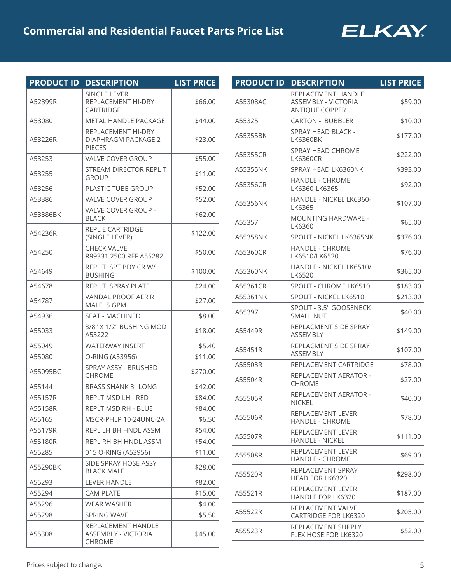| <b>PRODUCT ID</b> | <b>DESCRIPTION</b>                                                | <b>LIST PRICE</b> |  |
|-------------------|-------------------------------------------------------------------|-------------------|--|
| A52399R           | <b>SINGLE LEVER</b><br>REPLACEMENT HI-DRY<br>CARTRIDGE            | \$66.00           |  |
| A53080            | <b>METAL HANDLE PACKAGE</b>                                       | \$44.00           |  |
| A53226R           | REPLACEMENT HI-DRY<br><b>DIAPHRAGM PACKAGE 2</b><br><b>PIECES</b> | \$23.00           |  |
| A53253            | <b>VALVE COVER GROUP</b>                                          | \$55.00           |  |
| A53255            | STREAM DIRECTOR REPL T<br><b>GROUP</b>                            | \$11.00           |  |
| A53256            | PLASTIC TUBE GROUP                                                | \$52.00           |  |
| A53386            | VALVE COVER GROUP                                                 | \$52.00           |  |
| A53386BK          | <b>VALVE COVER GROUP -</b><br><b>BLACK</b>                        | \$62.00           |  |
| A54236R           | <b>REPL E CARTRIDGE</b><br>(SINGLE LEVER)                         | \$122.00          |  |
| A54250            | <b>CHECK VALVE</b><br>R99331.2500 REF A55282                      | \$50.00           |  |
| A54649            | REPL T. SPT BDY CR W/<br><b>BUSHING</b>                           | \$100.00          |  |
| A54678            | REPL T. SPRAY PLATE                                               | \$24.00           |  |
| A54787            | VANDAL PROOF AER R<br>MALE .5 GPM                                 | \$27.00           |  |
| A54936            | <b>SEAT - MACHINED</b>                                            | \$8.00            |  |
| A55033            | 3/8" X 1/2" BUSHING MOD<br>A53222                                 | \$18.00           |  |
| A55049            | <b>WATERWAY INSERT</b>                                            | \$5.40            |  |
| A55080            | O-RING (A53956)                                                   | \$11.00           |  |
| A55095BC          | <b>SPRAY ASSY - BRUSHED</b><br><b>CHROME</b>                      | \$270.00          |  |
| A55144            | <b>BRASS SHANK 3" LONG</b>                                        | \$42.00           |  |
| A55157R           | REPLT MSD LH - RED                                                | \$84.00           |  |
| A55158R           | REPLT MSD RH - BLUE                                               | \$84.00           |  |
| A55165            | MSCR-PHLP 10-24UNC-2A                                             | \$6.50            |  |
| A55179R           | REPL LH BH HNDL ASSM                                              | \$54.00           |  |
| A55180R           | REPL RH BH HNDL ASSM                                              | \$54.00           |  |
| A55285            | 015 O-RING (A53956)                                               | \$11.00           |  |
| A55290BK          | SIDE SPRAY HOSE ASSY<br><b>BLACK MALE</b>                         | \$28.00           |  |
| A55293            | <b>LEVER HANDLE</b>                                               | \$82.00           |  |
| A55294            | <b>CAM PLATE</b>                                                  | \$15.00           |  |
| A55296            | WEAR WASHER                                                       | \$4.00            |  |
| A55298            | <b>SPRING WAVE</b>                                                | \$5.50            |  |
| A55308            | REPLACEMENT HANDLE<br><b>ASSEMBLY - VICTORIA</b><br><b>CHROME</b> | \$45.00           |  |

| <b>PRODUCT ID</b> | <b>DESCRIPTION</b>                                                        | <b>LIST PRICE</b> |  |
|-------------------|---------------------------------------------------------------------------|-------------------|--|
| A55308AC          | REPLACEMENT HANDLE<br><b>ASSEMBLY - VICTORIA</b><br><b>ANTIQUE COPPER</b> | \$59.00           |  |
| A55325            | <b>CARTON - BUBBLER</b>                                                   | \$10.00           |  |
| A55355BK          | <b>SPRAY HEAD BLACK -</b><br><b>LK6360BK</b>                              | \$177.00          |  |
| A55355CR          | <b>SPRAY HEAD CHROME</b><br><b>LK6360CR</b>                               | \$222.00          |  |
| A55355NK          | SPRAY HEAD LK6360NK                                                       | \$393.00          |  |
| A55356CR          | <b>HANDLE - CHROME</b><br>LK6360-LK6365                                   | \$92.00           |  |
| A55356NK          | HANDLE - NICKEL LK6360-<br>LK6365                                         | \$107.00          |  |
| A55357            | <b>MOUNTING HARDWARE -</b><br>LK6360                                      | \$65.00           |  |
| A55358NK          | SPOUT - NICKEL LK6365NK                                                   | \$376.00          |  |
| A55360CR          | HANDLE - CHROME<br>LK6510/LK6520                                          | \$76.00           |  |
| A55360NK          | HANDLE - NICKEL LK6510/<br>LK6520                                         | \$365.00          |  |
| A55361CR          | SPOUT - CHROME LK6510                                                     | \$183.00          |  |
| A55361NK          | SPOUT - NICKEL LK6510                                                     | \$213.00          |  |
| A55397            | SPOUT - 3.5" GOOSENECK<br><b>SMALL NUT</b>                                | \$40.00           |  |
| A55449R           | REPLACMENT SIDE SPRAY<br><b>ASSEMBLY</b>                                  | \$149.00          |  |
| A55451R           | REPLACMENT SIDE SPRAY<br><b>ASSEMBLY</b>                                  | \$107.00          |  |
| A55503R           | REPLACEMENT CARTRIDGE                                                     | \$78.00           |  |
| A55504R           | REPLACEMENT AERATOR -<br><b>CHROME</b>                                    | \$27.00           |  |
| A55505R           | REPLACEMENT AERATOR -<br>NICKEL                                           | \$40.00           |  |
| A55506R           | REPLACEMENT LEVER<br><b>HANDLE - CHROME</b>                               | \$78.00           |  |
| A55507R           | REPLACEMENT LEVER<br><b>HANDLE - NICKEL</b>                               | \$111.00          |  |
| A55508R           | REPLACEMENT LEVER<br><b>HANDLE - CHROME</b>                               | \$69.00           |  |
| A55520R           | REPI ACEMENT SPRAY<br><b>HEAD FOR LK6320</b>                              | \$298.00          |  |
| A55521R           | REPLACEMENT LEVER<br>HANDLE FOR LK6320                                    | \$187.00          |  |
| A55522R           | REPLACEMENT VALVE<br>CARTRIDGE FOR LK6320                                 | \$205.00          |  |
| A55523R           | REPLACEMENT SUPPLY<br>FLEX HOSE FOR LK6320                                | \$52.00           |  |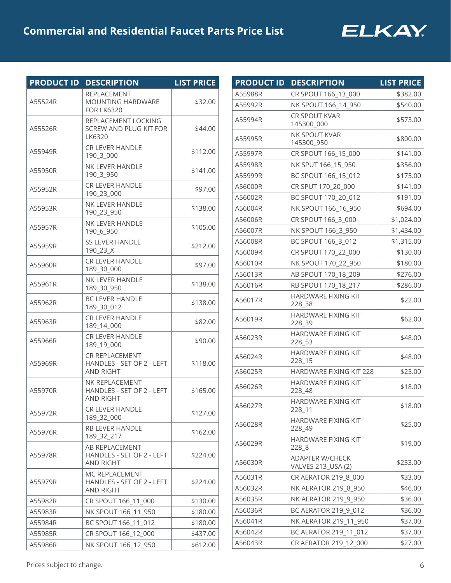|  |  |  | N. | А. | r 1 |
|--|--|--|----|----|-----|
|--|--|--|----|----|-----|

| <b>PRODUCT ID</b> | <b>DESCRIPTION</b>                                                     | <b>LIST PRICE</b> |
|-------------------|------------------------------------------------------------------------|-------------------|
| A55524R           | <b>REPLACEMENT</b><br><b>MOUNTING HARDWARE</b><br><b>FOR LK6320</b>    | \$32.00           |
| A55526R           | REPLACEMENT LOCKING<br>SCREW AND PLUG KIT FOR<br>LK6320                | \$44.00           |
| A55949R           | <b>CR LEVER HANDLE</b><br>190_3_000                                    | \$112.00          |
| A55950R           | NK LEVER HANDLE<br>190 3 950                                           | \$141.00          |
| A55952R           | <b>CR LEVER HANDLE</b><br>190_23_000                                   | \$97.00           |
| A55953R           | <b>NK LEVER HANDLE</b><br>190_23_950                                   | \$138.00          |
| A55957R           | NK LEVER HANDLE<br>190_6_950                                           | \$105.00          |
| A55959R           | <b>SS LEVER HANDLE</b><br>190_23_X                                     | \$212.00          |
| A55960R           | <b>CR LEVER HANDLE</b><br>189 30 000                                   | \$97.00           |
| A55961R           | NK LEVER HANDLE<br>189_30_950                                          | \$138.00          |
| A55962R           | <b>BC LEVER HANDLE</b><br>189_30_012                                   | \$138.00          |
| A55963R           | <b>CR LEVER HANDLE</b><br>189_14_000                                   | \$82.00           |
| A55966R           | <b>CR LEVER HANDLE</b><br>189_19_000                                   | \$90.00           |
| A55969R           | <b>CR REPLACEMENT</b><br>HANDLES - SET OF 2 - LEFT<br><b>AND RIGHT</b> | \$118.00          |
| A55970R           | NK REPLACEMENT<br>HANDLES - SET OF 2 - LEFT<br><b>AND RIGHT</b>        | \$165.00          |
| A55972R           | <b><i>CR LEVER HANDLE</i></b><br>189_32_000                            | \$127.00          |
| A55976R           | <b>RB LEVER HANDLE</b><br>189_32_217                                   | \$162.00          |
| A55978R           | AB REPLACEMENT<br>HANDLES - SET OF 2 - LEFT<br>AND RIGHT               | \$224.00          |
| A55979R           | MC REPLACEMENT<br>HANDLES - SET OF 2 - LEFT<br><b>AND RIGHT</b>        | \$224.00          |
| A55982R           | CR SPOUT 166_11_000                                                    | \$130.00          |
| A55983R           | NK SPOUT 166_11_950                                                    | \$180.00          |
| A55984R           | BC SPOUT 166_11_012                                                    | \$180.00          |
| A55985R           | CR SPOUT 166_12_000                                                    | \$437.00          |
| A55986R           | NK SPOUT 166_12_950                                                    | \$612.00          |

|         | <b>PRODUCT ID DESCRIPTION</b>                | <b>LIST PRICE</b> |
|---------|----------------------------------------------|-------------------|
| A55988R | CR SPOUT 166_13_000                          | \$382.00          |
| A55992R | NK SPOUT 166_14_950                          | \$540.00          |
| A55994R | <b>CR SPOUT KVAR</b><br>145300_000           | \$573.00          |
| A55995R | <b>NK SPOUT KVAR</b><br>145300_950           | \$800.00          |
| A55997R | CR SPOUT 166_15_000                          | \$141.00          |
| A55998R | NK SPUT 166_15_950                           | \$356.00          |
| A55999R | BC SPOUT 166_15_012                          | \$175.00          |
| A56000R | CR SPUT 170_20_000                           | \$141.00          |
| A56002R | BC SPOUT 170_20_012                          | \$191.00          |
| A56004R | NK SPOUT 166_16_950                          | \$694.00          |
| A56006R | CR SPOUT 166_3_000                           | \$1,024.00        |
| A56007R | NK SPOUT 166 3 950                           | \$1,434.00        |
| A56008R | BC SPOUT 166_3_012                           | \$1,315.00        |
| A56009R | CR SPOUT 170_22_000                          | \$130.00          |
| A56010R | NK SPOUT 170_22_950                          | \$180.00          |
| A56013R | AB SPOUT 170_18_209                          | \$276.00          |
| A56016R | RB SPOUT 170_18_217                          | \$286.00          |
| A56017R | HARDWARE FIXING KIT<br>228_38                | \$22.00           |
| A56019R | <b>HARDWARE FIXING KIT</b><br>228 39         | \$62.00           |
| A56023R | HARDWARE FIXING KIT<br>228_53                | \$48.00           |
| A56024R | <b>HARDWARE FIXING KIT</b><br>228_15         | \$48.00           |
| A56025R | HARDWARE FIXING KIT 228                      | \$25.00           |
| A56026R | <b>HARDWARE FIXING KIT</b><br>228 48         | \$18.00           |
| A56027R | <b>HARDWARE FIXING KIT</b><br>228_11         | \$18.00           |
| A56028R | HARDWARE FIXING KIT<br>228 49                | \$25.00           |
| A56029R | <b>HARDWARE FIXING KIT</b><br>2288           | \$19.00           |
| A56030R | <b>ADAPTER W/CHECK</b><br>VALVES 213_USA (2) | \$233.00          |
| A56031R | CR AERATOR 219 8 000                         | \$33.00           |
| A56032R | NK AERATOR 219 8 950                         | \$46.00           |
| A56035R | NK AERATOR 219 9 950                         | \$36.00           |
| A56036R | BC AERATOR 219 9 012                         | \$36.00           |
| A56041R | NK AERATOR 219 11 950                        | \$37.00           |
| A56042R | BC AERATOR 219_11_012                        | \$37.00           |
| A56043R | CR AERATOR 219_12_000                        | \$27.00           |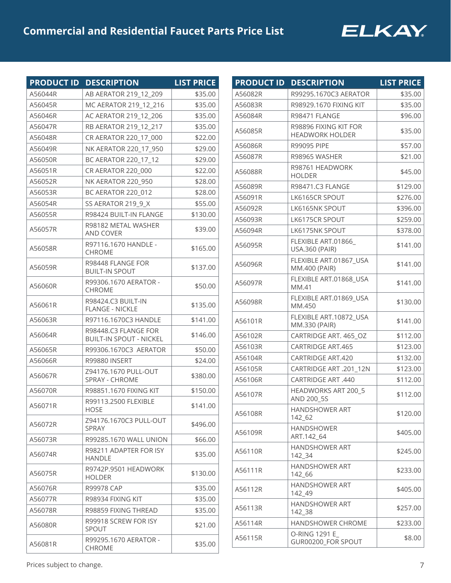| <b>PRODUCT ID</b> | <b>DESCRIPTION</b>                                     | <b>LIST PRICE</b> |
|-------------------|--------------------------------------------------------|-------------------|
| A56044R           | AB AERATOR 219_12_209                                  | \$35.00           |
| A56045R           | MC AERATOR 219_12_216                                  | \$35.00           |
| A56046R           | AC AERATOR 219_12_206                                  | \$35.00           |
| A56047R           | RB AERATOR 219_12_217                                  | \$35.00           |
| A56048R           | CR AERATOR 220_17_000                                  | \$22.00           |
| A56049R           | NK AERATOR 220_17_950                                  | \$29.00           |
| A56050R           | BC AERATOR 220_17_12                                   | \$29.00           |
| A56051R           | CR AERATOR 220_000                                     | \$22.00           |
| A56052R           | NK AERATOR 220_950                                     | \$28.00           |
| A56053R           | BC AERATOR 220 012                                     | \$28.00           |
| A56054R           | SS AERATOR 219_9_X                                     | \$55.00           |
| A56055R           | R98424 BUILT-IN FLANGE                                 | \$130.00          |
| A56057R           | R98182 METAL WASHER<br><b>AND COVER</b>                | \$39.00           |
| A56058R           | R97116.1670 HANDLE -<br><b>CHROME</b>                  | \$165.00          |
| A56059R           | R98448 FLANGE FOR<br><b>BUILT-IN SPOUT</b>             | \$137.00          |
| A56060R           | R99306.1670 AERATOR -<br><b>CHROME</b>                 | \$50.00           |
| A56061R           | R98424.C3 BUILT-IN<br><b>FLANGE - NICKLE</b>           | \$135.00          |
| A56063R           | R97116.1670C3 HANDLE                                   | \$141.00          |
| A56064R           | R98448.C3 FLANGE FOR<br><b>BUILT-IN SPOUT - NICKEL</b> | \$146.00          |
| A56065R           | R99306.1670C3 AERATOR                                  | \$50.00           |
| A56066R           | R99880 INSERT                                          | \$24.00           |
| A56067R           | Z94176.1670 PULL-OUT<br>SPRAY - CHROME                 | \$380.00          |
| A56070R           | R98851.1670 FIXING KIT                                 | \$150.00          |
| A56071R           | R99113.2500 FLEXIBLE<br><b>HOSE</b>                    | \$141.00          |
| A56072R           | Z94176.1670C3 PULL-OUT<br><b>SPRAY</b>                 | \$496.00          |
| A56073R           | R99285.1670 WALL UNION                                 | \$66.00           |
| A56074R           | R98211 ADAPTER FOR ISY<br>HANDLE                       | \$35.00           |
| A56075R           | R9742P.9501 HEADWORK<br><b>HOLDER</b>                  | \$130.00          |
| A56076R           | R99978 CAP                                             | \$35.00           |
| A56077R           | R98934 FIXING KIT                                      | \$35.00           |
| A56078R           | R98859 FIXING THREAD                                   | \$35.00           |
| A56080R           | R99918 SCREW FOR ISY<br>SPOUT                          | \$21.00           |
| A56081R           | R99295.1670 AERATOR -<br><b>CHROME</b>                 | \$35.00           |

| <b>PRODUCT ID</b> | <b>DESCRIPTION</b>                              | <b>LIST PRICE</b> |
|-------------------|-------------------------------------------------|-------------------|
| A56082R           | R99295.1670C3 AERATOR                           | \$35.00           |
| A56083R           | R98929.1670 FIXING KIT                          | \$35.00           |
| A56084R           | R98471 FLANGE                                   | \$96.00           |
| A56085R           | R98896 FIXING KIT FOR<br><b>HEADWORK HOLDER</b> | \$35.00           |
| A56086R           | <b>R99095 PIPE</b>                              | \$57.00           |
| A56087R           | R98965 WASHER                                   | \$21.00           |
| A56088R           | R98761 HEADWORK<br><b>HOLDER</b>                | \$45.00           |
| A56089R           | R98471.C3 FLANGE                                | \$129.00          |
| A56091R           | LK6165CR SPOUT                                  | \$276.00          |
| A56092R           | LK6165NK SPOUT                                  | \$396.00          |
| A56093R           | LK6175CR SPOUT                                  | \$259.00          |
| A56094R           | <b>LK6175NK SPOUT</b>                           | \$378.00          |
| A56095R           | FLEXIBLE ART.01866<br><b>USA.360 (PAIR)</b>     | \$141.00          |
| A56096R           | FLEXIBLE ART.01867 USA<br>MM.400 (PAIR)         | \$141.00          |
| A56097R           | FLEXIBLE ART.01868 USA<br>MM.41                 | \$141.00          |
| A56098R           | FLEXIBLE ART.01869 USA<br>MM.450                | \$130.00          |
| A56101R           | FLEXIBLE ART.10872_USA<br>MM.330 (PAIR)         | \$141.00          |
| A56102R           | CARTRIDGE ART. 465_OZ                           | \$112.00          |
| A56103R           | <b>CARTRIDGE ART.465</b>                        | \$123.00          |
| A56104R           | CARTRIDGE ART.420                               | \$132.00          |
| A56105R           | CARTRIDGE ART .201 12N                          | \$123.00          |
| A56106R           | <b>CARTRIDGE ART .440</b>                       | \$112.00          |
| A56107R           | <b>HEADWORKS ART 200 5</b><br>AND 200 5S        | \$112.00          |
| A56108R           | <b>HANDSHOWER ART</b><br>142_62                 | \$120.00          |
| A56109R           | <b>HANDSHOWER</b><br>ART.142_64                 | \$405.00          |
| A56110R           | <b>HANDSHOWER ART</b><br>142_34                 | \$245.00          |
| A56111R           | <b>HANDSHOWER ART</b><br>142 66                 | \$233.00          |
| A56112R           | HANDSHOWER ART<br>142_49                        | \$405.00          |
| A56113R           | HANDSHOWER ART<br>142_38                        | \$257.00          |
| A56114R           | <b>HANDSHOWER CHROME</b>                        | \$233.00          |
| A56115R           | O-RING 1291 E<br>GUR00200_FOR SPOUT             | \$8.00            |

Prices subject to change. The contract of the contract of the contract of the contract of the contract of the contract of the contract of the contract of the contract of the contract of the contract of the contract of the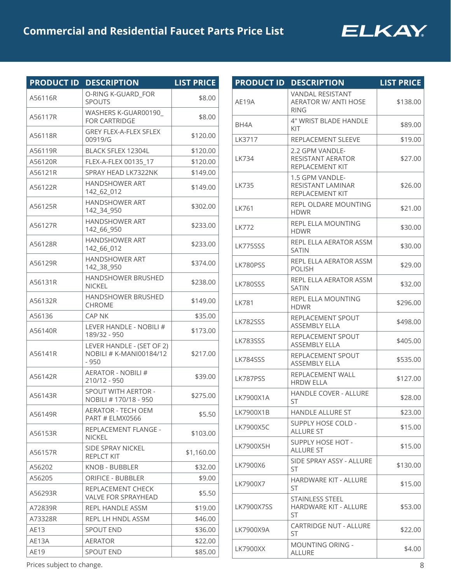|         | <b>PRODUCT ID DESCRIPTION</b>                                  | <b>LIST PRICE</b> |
|---------|----------------------------------------------------------------|-------------------|
| A56116R | O-RING K-GUARD FOR<br><b>SPOUTS</b>                            | \$8.00            |
| A56117R | WASHERS K-GUAR00190<br><b>FOR CARTRIDGE</b>                    | \$8.00            |
| A56118R | <b>GREY FLEX-A-FLEX SFLEX</b><br>00919/G                       | \$120.00          |
| A56119R | BLACK SFLEX 12304L                                             | \$120.00          |
| A56120R | FLEX-A-FLEX 00135 17                                           | \$120.00          |
| A56121R | SPRAY HEAD LK7322NK                                            | \$149.00          |
| A56122R | <b>HANDSHOWER ART</b><br>142_62_012                            | \$149.00          |
| A56125R | <b>HANDSHOWER ART</b><br>142_34_950                            | \$302.00          |
| A56127R | <b>HANDSHOWER ART</b><br>142 66 950                            | \$233.00          |
| A56128R | <b>HANDSHOWER ART</b><br>142_66_012                            | \$233.00          |
| A56129R | <b>HANDSHOWER ART</b><br>142_38_950                            | \$374.00          |
| A56131R | <b>HANDSHOWER BRUSHED</b><br><b>NICKEL</b>                     | \$238.00          |
| A56132R | <b>HANDSHOWER BRUSHED</b><br><b>CHROME</b>                     | \$149.00          |
| A56136  | <b>CAP NK</b>                                                  | \$35.00           |
| A56140R | LEVER HANDLE - NOBILI #<br>189/32 - 950                        | \$173.00          |
| A56141R | LEVER HANDLE - (SET OF 2)<br>NOBILI # K-MANI00184/12<br>$-950$ | \$217.00          |
| A56142R | AERATOR - NOBILI #<br>210/12 - 950                             | \$39.00           |
| A56143R | <b>SPOUT WITH AERTOR -</b><br>NOBILI # 170/18 - 950            | \$275.00          |
| A56149R | <b>AERATOR - TECH OEM</b><br>PART # ELMX0566                   | \$5.50            |
| A56153R | REPLACEMENT FLANGE -<br><b>NICKEL</b>                          | \$103.00          |
| A56157R | SIDE SPRAY NICKEL<br>REPLCT KIT                                | \$1,160.00        |
| A56202  | <b>KNOB - BUBBLER</b>                                          | \$32.00           |
| A56205  | <b>ORIFICE - BUBBLER</b>                                       | \$9.00            |
| A56293R | REPLACEMENT CHECK<br>VALVE FOR SPRAYHEAD                       | \$5.50            |
| A72839R | <b>REPL HANDLE ASSM</b>                                        | \$19.00           |
| A73328R | REPL LH HNDL ASSM                                              | \$46.00           |
| AE13    | <b>SPOUT END</b>                                               | \$36.00           |
| AE13A   | <b>AERATOR</b>                                                 | \$22.00           |
| AE19    | <b>SPOUT END</b>                                               | \$85.00           |

| <b>PRODUCT ID</b> | <b>DESCRIPTION</b>                                             | <b>LIST PRICE</b> |
|-------------------|----------------------------------------------------------------|-------------------|
| AE19A             | <b>VANDAL RESISTANT</b><br><b>AERATOR W/ ANTI HOSE</b><br>RING | \$138.00          |
| BH4A              | 4" WRIST BI ADF HANDI F<br>KIT                                 | \$89.00           |
| LK3717            | REPLACEMENT SLEEVE                                             | \$19.00           |
| LK734             | 2.2 GPM VANDLE-<br>RESISTANT AERATOR<br>REPLACEMENT KIT        | \$27.00           |
| LK735             | 1.5 GPM VANDLE-<br>RESISTANT LAMINAR<br>REPLACEMENT KIT        | \$26.00           |
| LK761             | REPL OLDARE MOUNTING<br><b>HDWR</b>                            | \$21.00           |
| I K772            | REPL ELLA MOUNTING<br><b>HDWR</b>                              | \$30.00           |
| LK775SSS          | REPL ELLA AERATOR ASSM<br>SATIN                                | \$30.00           |
| LK780PSS          | REPL ELLA AERATOR ASSM<br><b>POLISH</b>                        | \$29.00           |
| LK780SSS          | REPL ELLA AERATOR ASSM<br>SATIN                                | \$32.00           |
| LK781             | REPL ELLA MOUNTING<br><b>HDWR</b>                              | \$296.00          |
| LK782SSS          | REPLACEMENT SPOUT<br><b>ASSEMBLY ELLA</b>                      | \$498.00          |
| LK783SSS          | REPLACEMENT SPOUT<br><b>ASSEMBLY ELLA</b>                      | \$405.00          |
| LK784SSS          | REPLACEMENT SPOUT<br><b>ASSEMBLY ELLA</b>                      | \$535.00          |
| LK787PSS          | REPLACEMENT WALL<br><b>HRDW ELLA</b>                           | \$127.00          |
| LK7900X1A         | <b>HANDLE COVER - ALLURE</b><br>ST                             | \$28.00           |
| LK7900X1B         | HANDLE ALLURE ST                                               | \$23.00           |
| LK7900X5C         | <b>SUPPLY HOSE COLD -</b><br><b>ALLURE ST</b>                  | \$15.00           |
| LK7900X5H         | <b>SUPPLY HOSE HOT -</b><br><b>ALLURE ST</b>                   | \$15.00           |
| LK7900X6          | SIDE SPRAY ASSY - ALLURE<br>ST                                 | \$130.00          |
| LK7900X7          | HARDWARF KIT - ALLURF<br>ST                                    | \$15.00           |
| <b>LK7900X7SS</b> | STAINLESS STEEL<br><b>HARDWARE KIT - ALLURE</b><br>ST          | \$53.00           |
| LK7900X9A         | <b>CARTRIDGE NUT - ALLURE</b><br>ST                            | \$22.00           |
| <b>LK7900XX</b>   | <b>MOUNTING ORING -</b><br><b>ALLURE</b>                       | \$4.00            |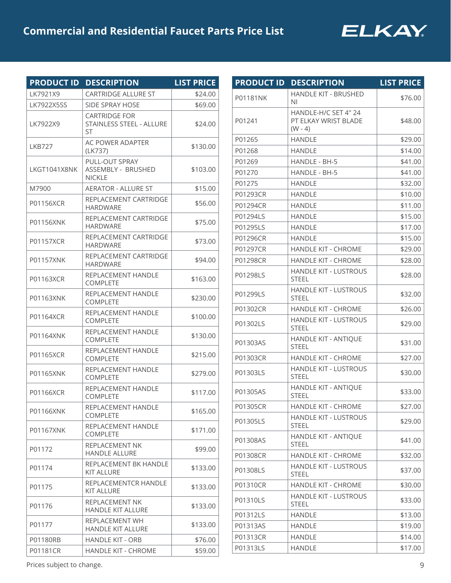|  | $\blacksquare$ | ◥<br>7A \ |         |
|--|----------------|-----------|---------|
|  |                |           | and the |

| <b>PRODUCT ID</b> | <b>DESCRIPTION</b>                                     | <b>LIST PRICE</b> |
|-------------------|--------------------------------------------------------|-------------------|
| LK7921X9          | <b>CARTRIDGE ALLURE ST</b>                             | \$24.00           |
| <b>LK7922X5SS</b> | <b>SIDE SPRAY HOSE</b>                                 | \$69.00           |
| LK7922X9          | <b>CARTRIDGE FOR</b><br>STAINLESS STEEL - ALLURE<br>ST | \$24.00           |
| <b>LKB727</b>     | AC POWER ADAPTER<br>(LK737)                            | \$130.00          |
| LKGT1041X8NK      | PULL-OUT SPRAY<br>ASSEMBLY - BRUSHED<br><b>NICKLE</b>  | \$103.00          |
| M7900             | <b>AERATOR - ALLURE ST</b>                             | \$15.00           |
| P01156XCR         | REPLACEMENT CARTRIDGE<br><b>HARDWARE</b>               | \$56.00           |
| P01156XNK         | REPLACEMENT CARTRIDGE<br><b>HARDWARE</b>               | \$75.00           |
| P01157XCR         | REPLACEMENT CARTRIDGE<br><b>HARDWARE</b>               | \$73.00           |
| <b>P01157XNK</b>  | REPLACEMENT CARTRIDGE<br><b>HARDWARE</b>               | \$94.00           |
| P01163XCR         | REPLACEMENT HANDLE<br><b>COMPLETE</b>                  | \$163.00          |
| P01163XNK         | REPLACEMENT HANDLE<br><b>COMPLETE</b>                  | \$230.00          |
| P01164XCR         | REPLACEMENT HANDLE<br><b>COMPLETE</b>                  | \$100.00          |
| P01164XNK         | REPLACEMENT HANDLE<br><b>COMPLETE</b>                  | \$130.00          |
| P01165XCR         | REPLACEMENT HANDLE<br><b>COMPLETE</b>                  | \$215.00          |
| P01165XNK         | REPLACEMENT HANDLE<br><b>COMPLETE</b>                  | \$279.00          |
| P01166XCR         | REPLACEMENT HANDLE<br><b>COMPLETE</b>                  | \$117.00          |
| P01166XNK         | REPLACEMENT HANDLE<br><b>COMPLETE</b>                  | \$165.00          |
| P01167XNK         | REPLACEMENT HANDLE<br><b>COMPLETE</b>                  | \$171.00          |
| P01172            | REPLACEMENT NK<br><b>HANDLE ALLURE</b>                 | \$99.00           |
| P01174            | REPLACEMENT BK HANDLE<br>KIT ALLURE                    | \$133.00          |
| P01175            | REPLACEMENTCR HANDLE<br><b>KIT ALLURE</b>              | \$133.00          |
| P01176            | REPLACEMENT NK<br><b>HANDLE KIT ALLURE</b>             | \$133.00          |
| P01177            | REPLACEMENT WH<br><b>HANDLE KIT ALLURE</b>             | \$133.00          |
| P01180RB          | <b>HANDLE KIT - ORB</b>                                | \$76.00           |
| P01181CR          | HANDLE KIT - CHROME                                    | \$59.00           |

| <b>PRODUCT ID</b> | <b>DESCRIPTION</b>                                        | <b>LIST PRICE</b> |
|-------------------|-----------------------------------------------------------|-------------------|
| P01181NK          | <b>HANDLE KIT - BRUSHED</b><br>ΝI                         | \$76.00           |
| P01241            | HANDLE-H/C SET 4" 24<br>PT ELKAY WRIST BLADE<br>$(W - 4)$ | \$48.00           |
| P01265            | <b>HANDLE</b>                                             | \$29.00           |
| P01268            | <b>HANDLE</b>                                             | \$14.00           |
| P01269            | HANDLE - BH-5                                             | \$41.00           |
| P01270            | HANDLE - BH-5                                             | \$41.00           |
| P01275            | <b>HANDLE</b>                                             | \$32.00           |
| P01293CR          | <b>HANDLE</b>                                             | \$10.00           |
| P01294CR          | <b>HANDLE</b>                                             | \$11.00           |
| P01294LS          | <b>HANDLE</b>                                             | \$15.00           |
| P01295LS          | <b>HANDLE</b>                                             | \$17.00           |
| P01296CR          | <b>HANDLE</b>                                             | \$15.00           |
| P01297CR          | <b>HANDLE KIT - CHROME</b>                                | \$29.00           |
| P01298CR          | HANDLE KIT - CHROME                                       | \$28.00           |
| P01298LS          | <b>HANDLE KIT - LUSTROUS</b><br><b>STEEL</b>              | \$28.00           |
| P01299LS          | <b>HANDLE KIT - LUSTROUS</b><br><b>STEEL</b>              | \$32.00           |
| P01302CR          | <b>HANDLE KIT - CHROME</b>                                | \$26.00           |
| P01302LS          | <b>HANDLE KIT - LUSTROUS</b><br><b>STEEL</b>              | \$29.00           |
| P01303AS          | HANDLE KIT - ANTIQUE<br><b>STEEL</b>                      | \$31.00           |
| P01303CR          | <b>HANDLE KIT - CHROME</b>                                | \$27.00           |
| P01303LS          | <b>HANDLE KIT - LUSTROUS</b><br><b>STEEL</b>              | \$30.00           |
| P01305AS          | HANDLE KIT - ANTIQUE<br><b>STEEL</b>                      | \$33.00           |
| P01305CR          | HANDLE KIT - CHROME                                       | \$27.00           |
| P01305LS          | <b>HANDLE KIT - LUSTROUS</b><br><b>STEEL</b>              | \$29.00           |
| P01308AS          | HANDLE KIT - ANTIQUE<br><b>STEEL</b>                      | \$41.00           |
| P01308CR          | <b>HANDLE KIT - CHROME</b>                                | \$32.00           |
| P01308LS          | <b>HANDLE KIT - LUSTROUS</b><br><b>STEEL</b>              | \$37.00           |
| P01310CR          | HANDLE KIT - CHROME                                       | \$30.00           |
| P01310LS          | <b>HANDLE KIT - LUSTROUS</b><br><b>STEEL</b>              | \$33.00           |
| P01312LS          | <b>HANDLE</b>                                             | \$13.00           |
| P01313AS          | <b>HANDLE</b>                                             | \$19.00           |
| P01313CR          | <b>HANDLE</b>                                             | \$14.00           |
| P01313LS          | <b>HANDLE</b>                                             | \$17.00           |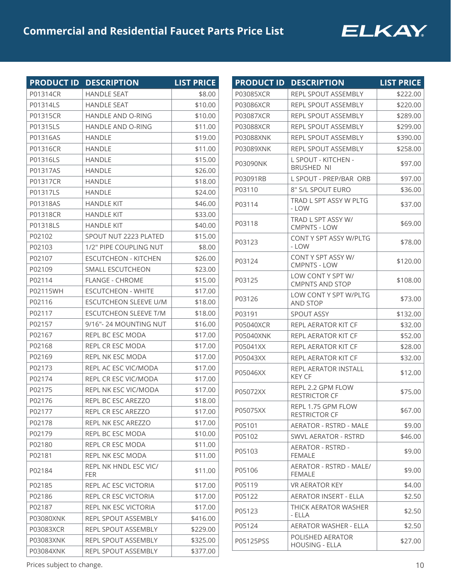|  |  | А.<br>г.<br>– ∴ |
|--|--|-----------------|
|--|--|-----------------|

|           | PRODUCT ID DESCRIPTION              | <b>LIST PRICE</b> |
|-----------|-------------------------------------|-------------------|
| P01314CR  | <b>HANDLE SEAT</b>                  | \$8.00            |
| P01314LS  | <b>HANDLE SEAT</b>                  | \$10.00           |
| P01315CR  | HANDLE AND O-RING                   | \$10.00           |
| P01315LS  | <b>HANDLE AND O-RING</b>            | \$11.00           |
| P01316AS  | <b>HANDLE</b>                       | \$19.00           |
| P01316CR  | <b>HANDLE</b>                       | \$11.00           |
| P01316LS  | <b>HANDLE</b>                       | \$15.00           |
| P01317AS  | <b>HANDLE</b>                       | \$26.00           |
| P01317CR  | <b>HANDLE</b>                       | \$18.00           |
| P01317LS  | <b>HANDLE</b>                       | \$24.00           |
| P01318AS  | <b>HANDLE KIT</b>                   | \$46.00           |
| P01318CR  | <b>HANDLE KIT</b>                   | \$33.00           |
| P01318LS  | <b>HANDLE KIT</b>                   | \$40.00           |
| P02102    | SPOUT NUT 2223 PLATED               | \$15.00           |
| P02103    | 1/2" PIPE COUPLING NUT              | \$8.00            |
| P02107    | ESCUTCHEON - KITCHEN                | \$26.00           |
| P02109    | SMALL ESCUTCHEON                    | \$23.00           |
| P02114    | <b>FLANGE - CHROME</b>              | \$15.00           |
| P02115WH  | <b>ESCUTCHEON - WHITE</b>           | \$17.00           |
| P02116    | ESCUTCHEON SLEEVE U/M               | \$18.00           |
| P02117    | <b>ESCUTCHEON SLEEVE T/M</b>        | \$18.00           |
| P02157    | 9/16"-24 MOUNTING NUT               | \$16.00           |
| P02167    | REPL BC ESC MODA                    | \$17.00           |
| P02168    | REPL CR ESC MODA                    | \$17.00           |
| P02169    | REPL NK ESC MODA                    | \$17.00           |
| P02173    | REPL AC ESC VIC/MODA                | \$17.00           |
| P02174    | REPL CR ESC VIC/MODA                | \$17.00           |
| P02175    | REPL NK ESC VIC/MODA                | \$17.00           |
| P02176    | REPL BC ESC AREZZO                  | \$18.00           |
| P02177    | REPL CR ESC AREZZO                  | \$17.00           |
| P02178    | REPL NK ESC AREZZO                  | \$17.00           |
| P02179    | REPL BC ESC MODA                    | \$10.00           |
| P02180    | REPL CR ESC MODA                    | \$11.00           |
| P02181    | REPL NK ESC MODA                    | \$11.00           |
| P02184    | REPL NK HNDL ESC VIC/<br><b>FER</b> | \$11.00           |
| P02185    | REPL AC ESC VICTORIA                | \$17.00           |
| P02186    | REPL CR ESC VICTORIA                | \$17.00           |
| P02187    | REPL NK ESC VICTORIA                | \$17.00           |
| P03080XNK | REPL SPOUT ASSEMBLY                 | \$416.00          |
| P03083XCR | REPL SPOUT ASSEMBLY                 | \$229.00          |
| P03083XNK | REPL SPOUT ASSEMBLY                 | \$325.00          |
| P03084XNK | REPL SPOUT ASSEMBLY                 | \$377.00          |

| <b>PRODUCT ID</b> | <b>DESCRIPTION</b>                          | <b>LIST PRICE</b> |
|-------------------|---------------------------------------------|-------------------|
| P03085XCR         | <b>REPL SPOUT ASSEMBLY</b>                  | \$222.00          |
| P03086XCR         | <b>REPL SPOUT ASSEMBLY</b>                  | \$220.00          |
| P03087XCR         | REPL SPOUT ASSEMBLY                         | \$289.00          |
| P03088XCR         | REPL SPOUT ASSEMBLY                         | \$299.00          |
| P03088XNK         | <b>REPL SPOUT ASSEMBLY</b>                  | \$390.00          |
| P03089XNK         | REPL SPOUT ASSEMBLY                         | \$258.00          |
| P03090NK          | L SPOUT - KITCHEN -<br><b>BRUSHED NI</b>    | \$97.00           |
| P03091RB          | L SPOUT - PREP/BAR ORB                      | \$97.00           |
| P03110            | 8" S/L SPOUT EURO                           | \$36.00           |
| P03114            | TRAD L SPT ASSY W PLTG<br>$-LOW$            | \$37.00           |
| P03118            | TRAD L SPT ASSY W/<br><b>CMPNTS - LOW</b>   | \$69.00           |
| P03123            | CONT Y SPT ASSY W/PLTG<br>- LOW             | \$78.00           |
| P03124            | CONT Y SPT ASSY W/<br><b>CMPNTS - LOW</b>   | \$120.00          |
| P03125            | LOW CONT Y SPT W/<br><b>CMPNTS AND STOP</b> | \$108.00          |
| P03126            | LOW CONT Y SPT W/PLTG<br>AND STOP           | \$73.00           |
| P03191            | SPOUT ASSY                                  | \$132.00          |
| P05040XCR         | REPL AERATOR KIT CF                         | \$32.00           |
| P05040XNK         | REPL AERATOR KIT CF                         | \$52.00           |
| P05041XX          | REPL AERATOR KIT CF                         | \$28.00           |
| P05043XX          | REPL AERATOR KIT CF                         | \$32.00           |
| P05046XX          | REPL AERATOR INSTALL<br><b>KFY CF</b>       | \$12.00           |
| P05072XX          | REPL 2.2 GPM FLOW<br><b>RESTRICTOR CF</b>   | \$75.00           |
| P05075XX          | REPL 1.75 GPM FLOW<br>RESTRICTOR CF         | \$67.00           |
| P05101            | AERATOR - RSTRD - MALE                      | \$9.00            |
| P05102            | <b>SWVL AERATOR - RSTRD</b>                 | \$46.00           |
| P05103            | AERATOR - RSTRD -<br>FEMALE                 | \$9.00            |
| P05106            | AERATOR - RSTRD - MALE/<br>FEMALE           | \$9.00            |
| P05119            | VR AERATOR KEY                              | \$4.00            |
| P05122            | <b>AERATOR INSERT - ELLA</b>                | \$2.50            |
| P05123            | THICK AERATOR WASHER<br>- ELLA              | \$2.50            |
| P05124            | AERATOR WASHER - ELLA                       | \$2.50            |
| P05125PSS         | POLISHED AERATOR<br><b>HOUSING - ELLA</b>   | \$27.00           |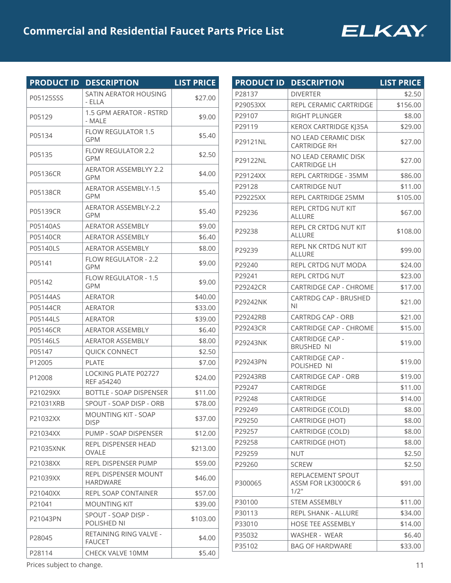|  |     | ◢. |                  |
|--|-----|----|------------------|
|  | – ∼ |    | and the contract |

| <b>PRODUCT ID</b> | <b>DESCRIPTION</b>                             | <b>LIST PRICE</b> |
|-------------------|------------------------------------------------|-------------------|
| P05125SSS         | <b>SATIN AERATOR HOUSING</b><br>- Ella         | \$27.00           |
| P05129            | 1.5 GPM AERATOR - RSTRD<br>- MALE              | \$9.00            |
| P05134            | <b>FLOW REGULATOR 1.5</b><br><b>GPM</b>        | \$5.40            |
| P05135            | <b>FLOW REGULATOR 2.2</b><br>GPM               | \$2.50            |
| P05136CR          | <b>AERATOR ASSEMBLYY 2.2</b><br><b>GPM</b>     | \$4.00            |
| P05138CR          | <b>AERATOR ASSEMBLY-1.5</b><br>GPM             | \$5.40            |
| P05139CR          | <b>AERATOR ASSEMBLY-2.2</b><br><b>GPM</b>      | \$5.40            |
| P05140AS          | <b>AERATOR ASSEMBLY</b>                        | \$9.00            |
| P05140CR          | <b>AERATOR ASSEMBLY</b>                        | \$6.40            |
| P05140LS          | AERATOR ASSEMBLY                               | \$8.00            |
| P05141            | <b>FLOW REGULATOR - 2.2</b><br><b>GPM</b>      | \$9.00            |
| P05142            | <b>FLOW REGULATOR - 1.5</b><br><b>GPM</b>      | \$9.00            |
| P05144AS          | AERATOR                                        | \$40.00           |
| P05144CR          | <b>AERATOR</b>                                 | \$33.00           |
| P05144LS          | AERATOR                                        | \$39.00           |
| P05146CR          | <b>AERATOR ASSEMBLY</b>                        | \$6.40            |
| P05146LS          | AERATOR ASSEMBLY                               | \$8.00            |
| P05147            | QUICK CONNECT                                  | \$2.50            |
| P12005            | <b>PLATE</b>                                   | \$7.00            |
| P12008            | <b>LOCKING PLATE P02727</b><br>REF a54240      | \$24.00           |
| P21029XX          | <b>BOTTLE - SOAP DISPENSER</b>                 | \$11.00           |
| P21031XRB         | SPOUT - SOAP DISP - ORB                        | \$78.00           |
| P21032XX          | MOUNTING KIT - SOAP<br>DISP                    | \$37.00           |
| P21034XX          | PUMP - SOAP DISPENSER                          | \$12.00           |
| P21035XNK         | REPL DISPENSER HEAD<br>OVALE                   | \$213.00          |
| P21038XX          | REPL DISPENSER PUMP                            | \$59.00           |
| P21039XX          | REPL DISPENSER MOUNT<br><b>HARDWARE</b>        | \$46.00           |
| P21040XX          | REPL SOAP CONTAINER                            | \$57.00           |
| P21041            | MOUNTING KIT                                   | \$39.00           |
| P21043PN          | SPOUT - SOAP DISP -<br>POLISHED NI             | \$103.00          |
| P28045            | <b>RETAINING RING VALVE -</b><br><b>FAUCET</b> | \$4.00            |
| P28114            | CHECK VALVE 10MM                               | \$5.40            |

| <b>PRODUCT ID</b> | <b>DESCRIPTION</b>                               | <b>LIST PRICE</b> |
|-------------------|--------------------------------------------------|-------------------|
| P28137            | <b>DIVERTER</b>                                  | \$2.50            |
| P29053XX          | REPL CERAMIC CARTRIDGE                           | \$156.00          |
| P29107            | RIGHT PLUNGER                                    | \$8.00            |
| P29119            | KEROX CARTRIDGE KJ35A                            | \$29.00           |
| P29121NL          | NO LEAD CERAMIC DISK<br><b>CARTRIDGE RH</b>      | \$27.00           |
| P29122NL          | NO LEAD CERAMIC DISK<br><b>CARTRIDGE LH</b>      | \$27.00           |
| P29124XX          | REPL CARTRIDGE - 35MM                            | \$86.00           |
| P29128            | <b>CARTRIDGE NUT</b>                             | \$11.00           |
| P29225XX          | REPL CARTRIDGE 25MM                              | \$105.00          |
| P29236            | REPL CRTDG NUT KIT<br><b>ALLURE</b>              | \$67.00           |
| P29238            | REPL CR CRTDG NUT KIT<br><b>ALLURE</b>           | \$108.00          |
| P29239            | REPL NK CRTDG NUT KIT<br><b>ALLURE</b>           | \$99.00           |
| P29240            | REPL CRTDG NUT MODA                              | \$24.00           |
| P29241            | <b>REPL CRTDG NUT</b>                            | \$23.00           |
| P29242CR          | <b>CARTRIDGE CAP - CHROME</b>                    | \$17.00           |
| P29242NK          | <b>CARTRDG CAP - BRUSHED</b><br>ΝI               | \$21.00           |
| P29242RB          | CARTRDG CAP - ORB                                | \$21.00           |
| P29243CR          | <b>CARTRIDGE CAP - CHROME</b>                    | \$15.00           |
| P29243NK          | <b>CARTRIDGE CAP -</b><br><b>BRUSHED NI</b>      | \$19.00           |
| P29243PN          | <b>CARTRIDGE CAP -</b><br>POLISHED NI            | \$19.00           |
| P29243RB          | <b>CARTRIDGE CAP - ORB</b>                       | \$19.00           |
| P29247            | CARTRIDGE                                        | \$11.00           |
| P29248            | CARTRIDGE                                        | \$14.00           |
| P29249            | CARTRIDGE (COLD)                                 | \$8.00            |
| P29250            | CARTRIDGE (HOT)                                  | \$8.00            |
| P29257            | CARTRIDGE (COLD)                                 | \$8.00            |
| P29258            | CARTRIDGE (HOT)                                  | \$8.00            |
| P29259            | <b>NUT</b>                                       | \$2.50            |
| P29260            | <b>SCREW</b>                                     | \$2.50            |
| P300065           | REPLACEMENT SPOUT<br>ASSM FOR LK3000CR 6<br>1/2" | \$91.00           |
| P30100            | STEM ASSEMBLY                                    | \$11.00           |
| P30113            | <b>REPL SHANK - ALLURE</b>                       | \$34.00           |
| P33010            | <b>HOSE TEE ASSEMBLY</b>                         | \$14.00           |
| P35032            | WASHER - WEAR                                    | \$6.40            |
| P35102            | <b>BAG OF HARDWARE</b>                           | \$33.00           |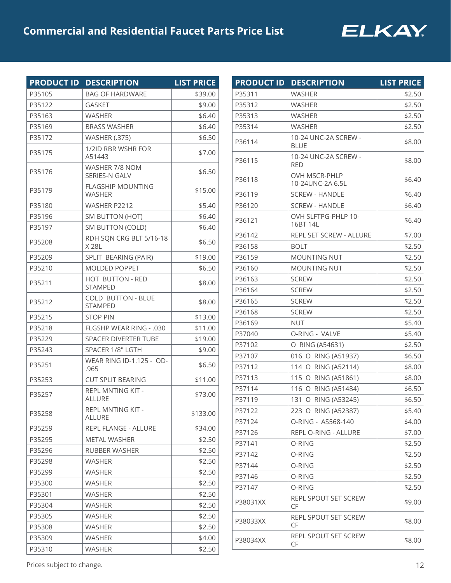|  |  |  | v.<br>. . | . . | - |
|--|--|--|-----------|-----|---|
|--|--|--|-----------|-----|---|

| <b>PRODUCT ID</b> | <b>DESCRIPTION</b>                          | <b>LIST PRICE</b> |
|-------------------|---------------------------------------------|-------------------|
| P35105            | <b>BAG OF HARDWARE</b>                      | \$39.00           |
| P35122            | <b>GASKET</b>                               | \$9.00            |
| P35163            | <b>WASHER</b>                               | \$6.40            |
| P35169            | <b>BRASS WASHER</b>                         | \$6.40            |
| P35172            | <b>WASHER (.375)</b>                        | \$6.50            |
| P35175            | 1/2ID RBR WSHR FOR<br>A51443                | \$7.00            |
| P35176            | WASHER 7/8 NOM<br><b>SERIES-N GALV</b>      | \$6.50            |
| P35179            | FLAGSHIP MOUNTING<br>WASHER                 | \$15.00           |
| P35180            | WASHER P2212                                | \$5.40            |
| P35196            | SM BUTTON (HOT)                             | \$6.40            |
| P35197            | SM BUTTON (COLD)                            | \$6.40            |
| P35208            | RDH SQN CRG BLT 5/16-18<br>X 28L            | \$6.50            |
| P35209            | SPLIT BEARING (PAIR)                        | \$19.00           |
| P35210            | <b>MOLDED POPPET</b>                        | \$6.50            |
| P35211            | <b>HOT BUTTON - RED</b><br><b>STAMPED</b>   | \$8.00            |
| P35212            | <b>COLD BUTTON - BLUE</b><br><b>STAMPED</b> | \$8.00            |
| P35215            | <b>STOP PIN</b>                             | \$13.00           |
| P35218            | FLGSHP WEAR RING - .030                     | \$11.00           |
| P35229            | <b>SPACER DIVERTER TUBE</b>                 | \$19.00           |
| P35243            | SPACER 1/8" LGTH                            | \$9.00            |
| P35251            | <b>WEAR RING ID-1.125 - OD-</b><br>.965     | \$6.50            |
| P35253            | <b>CUT SPLIT BEARING</b>                    | \$11.00           |
| P35257            | <b>REPL MNTING KIT -</b><br><b>ALLURE</b>   | \$73.00           |
| P35258            | REPL MNTING KIT -<br><b>ALLURE</b>          | \$133.00          |
| P35259            | REPL FLANGE - ALLURE                        | \$34.00           |
| P35295            | <b>METAL WASHER</b>                         | \$2.50            |
| P35296            | RUBBER WASHER                               | \$2.50            |
| P35298            | WASHER                                      | \$2.50            |
| P35299            | WASHER                                      | \$2.50            |
| P35300            | WASHER                                      | \$2.50            |
| P35301            | WASHER                                      | \$2.50            |
| P35304            | WASHER                                      | \$2.50            |
| P35305            | WASHER                                      | \$2.50            |
| P35308            | WASHER                                      | \$2.50            |
| P35309            | <b>WASHER</b>                               | \$4.00            |
| P35310            | <b>WASHER</b>                               | \$2.50            |

| <b>PRODUCT ID</b> | <b>DESCRIPTION</b>                       | <b>LIST PRICE</b> |
|-------------------|------------------------------------------|-------------------|
| P35311            | WASHER                                   | \$2.50            |
| P35312            | <b>WASHER</b>                            | \$2.50            |
| P35313            | WASHER                                   | \$2.50            |
| P35314            | <b>WASHER</b>                            | \$2.50            |
| P36114            | 10-24 UNC-2A SCREW -<br><b>BLUE</b>      | \$8.00            |
| P36115            | 10-24 UNC-2A SCREW -<br>RED              | \$8.00            |
| P36118            | <b>OVH MSCR-PHLP</b><br>10-24UNC-2A 6.5L | \$6.40            |
| P36119            | <b>SCREW - HANDLE</b>                    | \$6.40            |
| P36120            | <b>SCREW - HANDLE</b>                    | \$6.40            |
| P36121            | OVH SLFTPG-PHLP 10-<br>16BT 14L          | \$6.40            |
| P36142            | REPL SET SCREW - ALLURE                  | \$7.00            |
| P36158            | <b>BOLT</b>                              | \$2.50            |
| P36159            | <b>MOUNTING NUT</b>                      | \$2.50            |
| P36160            | <b>MOUNTING NUT</b>                      | \$2.50            |
| P36163            | <b>SCREW</b>                             | \$2.50            |
| P36164            | <b>SCREW</b>                             | \$2.50            |
| P36165            | <b>SCREW</b>                             | \$2.50            |
| P36168            | <b>SCREW</b>                             | \$2.50            |
| P36169            | NUT                                      | \$5.40            |
| P37040            | O-RING - VALVE                           | \$5.40            |
| P37102            | O RING (A54631)                          | \$2.50            |
| P37107            | 016 O RING (A51937)                      | \$6.50            |
| P37112            | 114 O RING (A52114)                      | \$8.00            |
| P37113            | 115 O RING (A51861)                      | \$8.00            |
| P37114            | 116 O RING (A51484)                      | \$6.50            |
| P37119            | 131 O RING (A53245)                      | \$6.50            |
| P37122            | 223 O RING (A52387)                      | \$5.40            |
| P37124            | O-RING - AS568-140                       | \$4.00            |
| P37126            | REPL O-RING - ALLURE                     | \$7.00            |
| P37141            | O-RING                                   | \$2.50            |
| P37142            | O-RING                                   | \$2.50            |
| P37144            | O-RING                                   | \$2.50            |
| P37146            | O-RING                                   | \$2.50            |
| P37147            | O-RING                                   | \$2.50            |
| P38031XX          | REPL SPOUT SET SCREW<br>CF               | \$9.00            |
| P38033XX          | REPL SPOUT SET SCREW<br>CF               | \$8.00            |
| P38034XX          | REPL SPOUT SET SCREW<br>CF               | \$8.00            |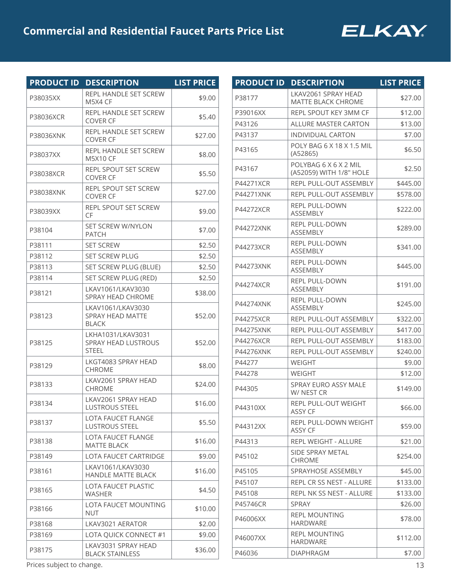| <b>PRODUCT ID</b> | <b>DESCRIPTION</b>                                              | <b>LIST PRICE</b> |
|-------------------|-----------------------------------------------------------------|-------------------|
| P38035XX          | REPL HANDLE SET SCREW<br>M5X4 CF                                | \$9.00            |
| P38036XCR         | REPL HANDLE SET SCREW<br><b>COVER CF</b>                        | \$5.40            |
| P38036XNK         | REPL HANDLE SET SCREW<br><b>COVER CF</b>                        | \$27.00           |
| P38037XX          | REPL HANDLE SET SCREW<br><b>M5X10 CF</b>                        | \$8.00            |
| P38038XCR         | REPL SPOUT SET SCREW<br><b>COVER CF</b>                         | \$5.50            |
| P38038XNK         | <b>REPL SPOUT SET SCREW</b><br><b>COVER CF</b>                  | \$27.00           |
| P38039XX          | <b>REPL SPOUT SET SCREW</b><br>CF                               | \$9.00            |
| P38104            | <b>SET SCREW W/NYLON</b><br><b>PATCH</b>                        | \$7.00            |
| P38111            | <b>SET SCREW</b>                                                | \$2.50            |
| P38112            | <b>SET SCREW PLUG</b>                                           | \$2.50            |
| P38113            | SET SCREW PLUG (BLUE)                                           | \$2.50            |
| P38114            | SET SCREW PLUG (RED)                                            | \$2.50            |
| P38121            | LKAV1061/LKAV3030<br><b>SPRAY HEAD CHROME</b>                   | \$38.00           |
| P38123            | LKAV1061/LKAV3030<br><b>SPRAY HEAD MATTE</b><br><b>BLACK</b>    | \$52.00           |
| P38125            | LKHA1031/LKAV3031<br><b>SPRAY HEAD LUSTROUS</b><br><b>STEEL</b> | \$52.00           |
| P38129            | LKGT4083 SPRAY HEAD<br><b>CHROME</b>                            | \$8.00            |
| P38133            | LKAV2061 SPRAY HEAD<br><b>CHROME</b>                            | \$24.00           |
| P38134            | LKAV2061 SPRAY HEAD<br><b>LUSTROUS STEEL</b>                    | \$16.00           |
| P38137            | <b>LOTA FAUCET FLANGE</b><br><b>LUSTROUS STEEL</b>              | \$5.50            |
| P38138            | <b>LOTA FAUCET FLANGE</b><br>MATTE BI ACK                       | \$16.00           |
| P38149            | LOTA FAUCET CARTRIDGE                                           | \$9.00            |
| P38161            | LKAV1061/LKAV3030<br><b>HANDLE MATTE BLACK</b>                  | \$16.00           |
| P38165            | <b>LOTA FAUCET PLASTIC</b><br><b>WASHER</b>                     | \$4.50            |
| P38166            | LOTA FAUCET MOUNTING<br>NUT                                     | \$10.00           |
| P38168            | LKAV3021 AERATOR                                                | \$2.00            |
| P38169            | LOTA QUICK CONNECT #1                                           | \$9.00            |
| P38175            | LKAV3031 SPRAY HEAD<br><b>BLACK STAINLESS</b>                   | \$36.00           |

| <b>PRODUCT ID</b> | <b>DESCRIPTION</b>                               | <b>LIST PRICE</b> |
|-------------------|--------------------------------------------------|-------------------|
| P38177            | LKAV2061 SPRAY HEAD<br><b>MATTE BLACK CHROME</b> | \$27.00           |
| P39016XX          | REPL SPOUT KEY 3MM CF                            | \$12.00           |
| P43126            | <b>ALLURE MASTER CARTON</b>                      | \$13.00           |
| P43137            | <b>INDIVIDUAL CARTON</b>                         | \$7.00            |
| P43165            | POLY BAG 6 X 18 X 1.5 MIL<br>(A52865)            | \$6.50            |
| P43167            | POLYBAG 6 X 6 X 2 MIL<br>(A52059) WITH 1/8" HOLE | \$2.50            |
| P44271XCR         | REPL PULL-OUT ASSEMBLY                           | \$445.00          |
| P44271XNK         | REPL PULL-OUT ASSEMBLY                           | \$578.00          |
| P44272XCR         | <b>REPL PULL-DOWN</b><br><b>ASSEMBLY</b>         | \$222.00          |
| P44272XNK         | <b>REPL PULL-DOWN</b><br><b>ASSEMBLY</b>         | \$289.00          |
| P44273XCR         | <b>REPL PULL-DOWN</b><br><b>ASSEMBLY</b>         | \$341.00          |
| P44273XNK         | <b>REPL PULL-DOWN</b><br><b>ASSEMBLY</b>         | \$445.00          |
| P44274XCR         | <b>REPL PULL-DOWN</b><br><b>ASSEMBLY</b>         | \$191.00          |
| P44274XNK         | <b>REPL PULL-DOWN</b><br><b>ASSEMBLY</b>         | \$245.00          |
| <b>P44275XCR</b>  | REPL PULL-OUT ASSEMBLY                           | \$322.00          |
| P44275XNK         | REPL PULL-OUT ASSEMBLY                           | \$417.00          |
| P44276XCR         | REPL PULL-OUT ASSEMBLY                           | \$183.00          |
| P44276XNK         | REPL PULL-OUT ASSEMBLY                           | \$240.00          |
| P44277            | WEIGHT                                           | \$9.00            |
| P44278            | WEIGHT                                           | \$12.00           |
| P44305            | <b>SPRAY EURO ASSY MALE</b><br>W/NEST CR         | \$149.00          |
| P44310XX          | REPL PULL-OUT WEIGHT<br><b>ASSY CF</b>           | \$66.00           |
| P44312XX          | REPL PULL-DOWN WEIGHT<br>ASSY CF                 | \$59.00           |
| P44313            | REPL WEIGHT - ALLURE                             | \$21.00           |
| P45102            | SIDE SPRAY METAL<br><b>CHROME</b>                | \$254.00          |
| P45105            | SPRAYHOSE ASSEMBLY                               | \$45.00           |
| P45107            | REPL CR SS NEST - ALLURE                         | \$133.00          |
| P45108            | REPL NK SS NEST - ALLURE                         | \$133.00          |
| P45746CR          | <b>SPRAY</b>                                     | \$26.00           |
| P46006XX          | REPL MOUNTING<br><b>HARDWARE</b>                 | \$78.00           |
| P46007XX          | REPL MOUNTING<br>HARDWARE                        | \$112.00          |
| P46036            | <b>DIAPHRAGM</b>                                 | \$7.00            |